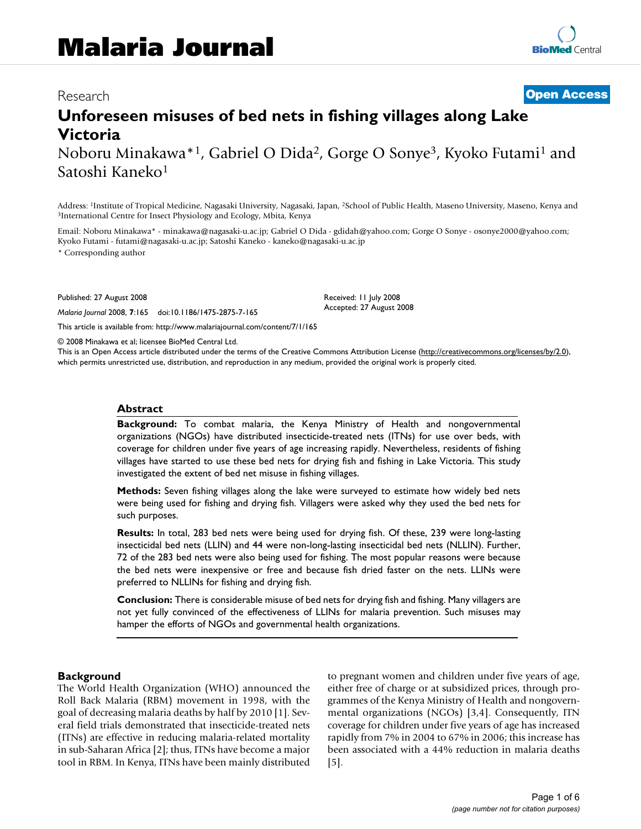# Research **[Open Access](http://www.biomedcentral.com/info/about/charter/)**

# **Unforeseen misuses of bed nets in fishing villages along Lake Victoria** Noboru Minakawa\*1, Gabriel O Dida2, Gorge O Sonye3, Kyoko Futami1 and Satoshi Kaneko1

Address: <sup>1</sup>Institute of Tropical Medicine, Nagasaki University, Nagasaki, Japan, <sup>2</sup>School of Public Health, Maseno University, Maseno, Kenya and <sup>3</sup>International Centre for Insect Physiology and Ecology, Mbita, Kenya

Email: Noboru Minakawa\* - minakawa@nagasaki-u.ac.jp; Gabriel O Dida - gdidah@yahoo.com; Gorge O Sonye - osonye2000@yahoo.com; Kyoko Futami - futami@nagasaki-u.ac.jp; Satoshi Kaneko - kaneko@nagasaki-u.ac.jp

\* Corresponding author

Published: 27 August 2008

*Malaria Journal* 2008, **7**:165 doi:10.1186/1475-2875-7-165

[This article is available from: http://www.malariajournal.com/content/7/1/165](http://www.malariajournal.com/content/7/1/165)

© 2008 Minakawa et al; licensee BioMed Central Ltd.

This is an Open Access article distributed under the terms of the Creative Commons Attribution License [\(http://creativecommons.org/licenses/by/2.0\)](http://creativecommons.org/licenses/by/2.0), which permits unrestricted use, distribution, and reproduction in any medium, provided the original work is properly cited.

Received: 11 July 2008 Accepted: 27 August 2008

#### **Abstract**

**Background:** To combat malaria, the Kenya Ministry of Health and nongovernmental organizations (NGOs) have distributed insecticide-treated nets (ITNs) for use over beds, with coverage for children under five years of age increasing rapidly. Nevertheless, residents of fishing villages have started to use these bed nets for drying fish and fishing in Lake Victoria. This study investigated the extent of bed net misuse in fishing villages.

**Methods:** Seven fishing villages along the lake were surveyed to estimate how widely bed nets were being used for fishing and drying fish. Villagers were asked why they used the bed nets for such purposes.

**Results:** In total, 283 bed nets were being used for drying fish. Of these, 239 were long-lasting insecticidal bed nets (LLIN) and 44 were non-long-lasting insecticidal bed nets (NLLIN). Further, 72 of the 283 bed nets were also being used for fishing. The most popular reasons were because the bed nets were inexpensive or free and because fish dried faster on the nets. LLINs were preferred to NLLINs for fishing and drying fish.

**Conclusion:** There is considerable misuse of bed nets for drying fish and fishing. Many villagers are not yet fully convinced of the effectiveness of LLINs for malaria prevention. Such misuses may hamper the efforts of NGOs and governmental health organizations.

#### **Background**

The World Health Organization (WHO) announced the Roll Back Malaria (RBM) movement in 1998, with the goal of decreasing malaria deaths by half by 2010 [1]. Several field trials demonstrated that insecticide-treated nets (ITNs) are effective in reducing malaria-related mortality in sub-Saharan Africa [2]; thus, ITNs have become a major tool in RBM. In Kenya, ITNs have been mainly distributed to pregnant women and children under five years of age, either free of charge or at subsidized prices, through programmes of the Kenya Ministry of Health and nongovernmental organizations (NGOs) [3,4]. Consequently, ITN coverage for children under five years of age has increased rapidly from 7% in 2004 to 67% in 2006; this increase has been associated with a 44% reduction in malaria deaths [5].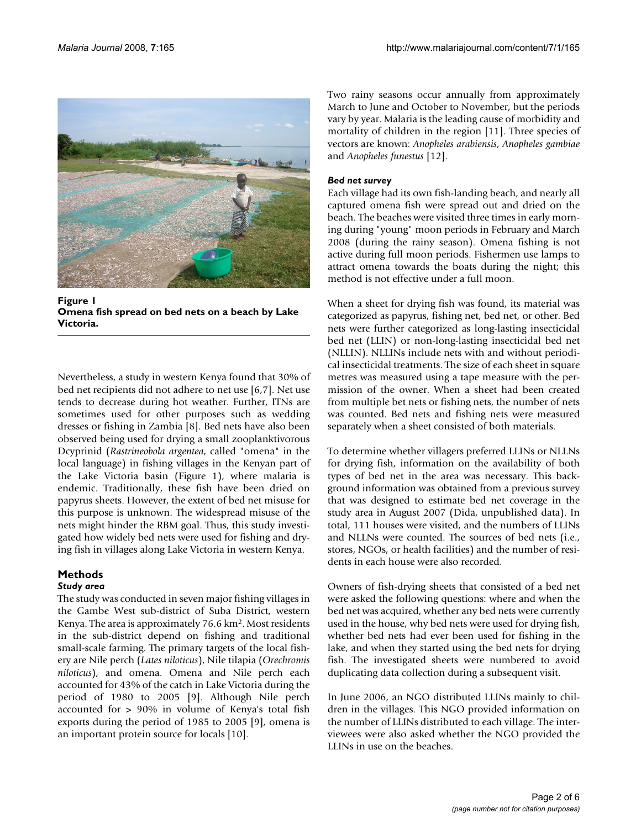

**Figure 1 Omena fish spread on bed nets on a beach by Lake Victoria.**

Nevertheless, a study in western Kenya found that 30% of bed net recipients did not adhere to net use [6,7]. Net use tends to decrease during hot weather. Further, ITNs are sometimes used for other purposes such as wedding dresses or fishing in Zambia [8]. Bed nets have also been observed being used for drying a small zooplanktivorous Dcyprinid (*Rastrineobola argentea*, called "omena" in the local language) in fishing villages in the Kenyan part of the Lake Victoria basin (Figure 1), where malaria is endemic. Traditionally, these fish have been dried on papyrus sheets. However, the extent of bed net misuse for this purpose is unknown. The widespread misuse of the nets might hinder the RBM goal. Thus, this study investigated how widely bed nets were used for fishing and drying fish in villages along Lake Victoria in western Kenya.

## **Methods**

#### *Study area*

The study was conducted in seven major fishing villages in the Gambe West sub-district of Suba District, western Kenya. The area is approximately 76.6 km2. Most residents in the sub-district depend on fishing and traditional small-scale farming. The primary targets of the local fishery are Nile perch (*Lates niloticus*), Nile tilapia (*Orechromis niloticus*), and omena. Omena and Nile perch each accounted for 43% of the catch in Lake Victoria during the period of 1980 to 2005 [9]. Although Nile perch accounted for > 90% in volume of Kenya's total fish exports during the period of 1985 to 2005 [9], omena is an important protein source for locals [10].

Two rainy seasons occur annually from approximately March to June and October to November, but the periods vary by year. Malaria is the leading cause of morbidity and mortality of children in the region [11]. Three species of vectors are known: *Anopheles arabiensis*, *Anopheles gambiae* and *Anopheles funestus* [12].

#### *Bed net survey*

Each village had its own fish-landing beach, and nearly all captured omena fish were spread out and dried on the beach. The beaches were visited three times in early morning during "young" moon periods in February and March 2008 (during the rainy season). Omena fishing is not active during full moon periods. Fishermen use lamps to attract omena towards the boats during the night; this method is not effective under a full moon.

When a sheet for drying fish was found, its material was categorized as papyrus, fishing net, bed net, or other. Bed nets were further categorized as long-lasting insecticidal bed net (LLIN) or non-long-lasting insecticidal bed net (NLLIN). NLLINs include nets with and without periodical insecticidal treatments. The size of each sheet in square metres was measured using a tape measure with the permission of the owner. When a sheet had been created from multiple bet nets or fishing nets, the number of nets was counted. Bed nets and fishing nets were measured separately when a sheet consisted of both materials.

To determine whether villagers preferred LLINs or NLLNs for drying fish, information on the availability of both types of bed net in the area was necessary. This background information was obtained from a previous survey that was designed to estimate bed net coverage in the study area in August 2007 (Dida, unpublished data). In total, 111 houses were visited, and the numbers of LLINs and NLLNs were counted. The sources of bed nets (i.e., stores, NGOs, or health facilities) and the number of residents in each house were also recorded.

Owners of fish-drying sheets that consisted of a bed net were asked the following questions: where and when the bed net was acquired, whether any bed nets were currently used in the house, why bed nets were used for drying fish, whether bed nets had ever been used for fishing in the lake, and when they started using the bed nets for drying fish. The investigated sheets were numbered to avoid duplicating data collection during a subsequent visit.

In June 2006, an NGO distributed LLINs mainly to children in the villages. This NGO provided information on the number of LLINs distributed to each village. The interviewees were also asked whether the NGO provided the LLINs in use on the beaches.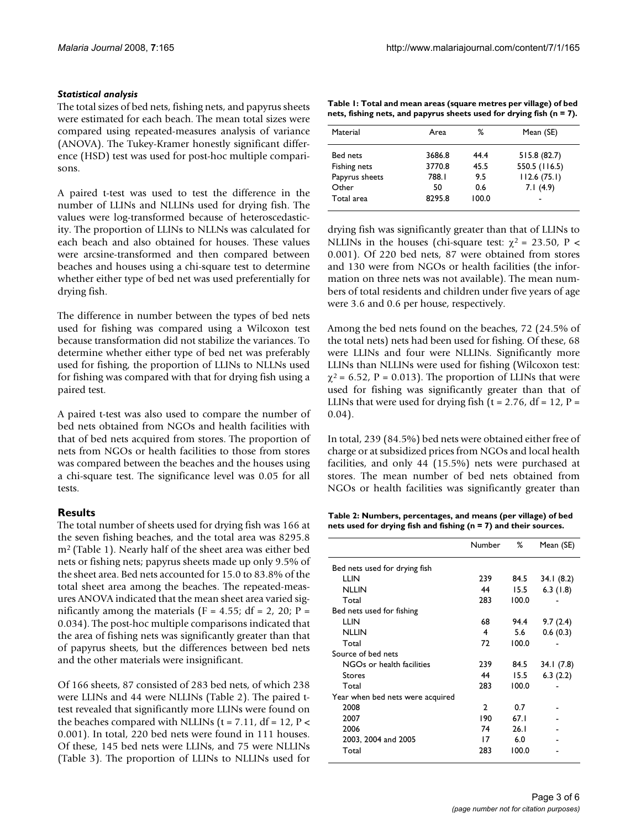#### *Statistical analysis*

The total sizes of bed nets, fishing nets, and papyrus sheets were estimated for each beach. The mean total sizes were compared using repeated-measures analysis of variance (ANOVA). The Tukey-Kramer honestly significant difference (HSD) test was used for post-hoc multiple comparisons.

A paired t-test was used to test the difference in the number of LLINs and NLLINs used for drying fish. The values were log-transformed because of heteroscedasticity. The proportion of LLINs to NLLNs was calculated for each beach and also obtained for houses. These values were arcsine-transformed and then compared between beaches and houses using a chi-square test to determine whether either type of bed net was used preferentially for drying fish.

The difference in number between the types of bed nets used for fishing was compared using a Wilcoxon test because transformation did not stabilize the variances. To determine whether either type of bed net was preferably used for fishing, the proportion of LLINs to NLLNs used for fishing was compared with that for drying fish using a paired test.

A paired t-test was also used to compare the number of bed nets obtained from NGOs and health facilities with that of bed nets acquired from stores. The proportion of nets from NGOs or health facilities to those from stores was compared between the beaches and the houses using a chi-square test. The significance level was 0.05 for all tests.

## **Results**

The total number of sheets used for drying fish was 166 at the seven fishing beaches, and the total area was 8295.8 m2 (Table 1). Nearly half of the sheet area was either bed nets or fishing nets; papyrus sheets made up only 9.5% of the sheet area. Bed nets accounted for 15.0 to 83.8% of the total sheet area among the beaches. The repeated-measures ANOVA indicated that the mean sheet area varied significantly among the materials ( $F = 4.55$ ; df = 2, 20; P = 0.034). The post-hoc multiple comparisons indicated that the area of fishing nets was significantly greater than that of papyrus sheets, but the differences between bed nets and the other materials were insignificant.

Of 166 sheets, 87 consisted of 283 bed nets, of which 238 were LLINs and 44 were NLLINs (Table 2). The paired ttest revealed that significantly more LLINs were found on the beaches compared with NLLINs ( $t = 7.11$ , df = 12, P < 0.001). In total, 220 bed nets were found in 111 houses. Of these, 145 bed nets were LLINs, and 75 were NLLINs (Table 3). The proportion of LLINs to NLLINs used for

**Table 1: Total and mean areas (square metres per village) of bed nets, fishing nets, and papyrus sheets used for drying fish (n = 7).**

| Material       | Area   | ℅     | Mean (SE)     |  |
|----------------|--------|-------|---------------|--|
|                |        |       |               |  |
| Bed nets       | 3686.8 | 44.4  | 515.8 (82.7)  |  |
| Fishing nets   | 3770.8 | 45.5  | 550.5 (116.5) |  |
| Papyrus sheets | 788.I  | 9.5   | 112.6(75.1)   |  |
| Other          | 50     | 0.6   | 7.1(4.9)      |  |
| Total area     | 8295.8 | 100.0 |               |  |

drying fish was significantly greater than that of LLINs to NLLINs in the houses (chi-square test:  $\chi^2$  = 23.50, P < 0.001). Of 220 bed nets, 87 were obtained from stores and 130 were from NGOs or health facilities (the information on three nets was not available). The mean numbers of total residents and children under five years of age were 3.6 and 0.6 per house, respectively.

Among the bed nets found on the beaches, 72 (24.5% of the total nets) nets had been used for fishing. Of these, 68 were LLINs and four were NLLINs. Significantly more LLINs than NLLINs were used for fishing (Wilcoxon test:  $\chi^2$  = 6.52, P = 0.013). The proportion of LLINs that were used for fishing was significantly greater than that of LLINs that were used for drying fish ( $t = 2.76$ , df = 12, P = 0.04).

In total, 239 (84.5%) bed nets were obtained either free of charge or at subsidized prices from NGOs and local health facilities, and only 44 (15.5%) nets were purchased at stores. The mean number of bed nets obtained from NGOs or health facilities was significantly greater than

**Table 2: Numbers, percentages, and means (per village) of bed nets used for drying fish and fishing (n = 7) and their sources.**

|                                  | Number        | %     | Mean (SE)  |
|----------------------------------|---------------|-------|------------|
| Bed nets used for drying fish    |               |       |            |
| LLIN                             | 239           | 84.5  | 34.1(8.2)  |
| <b>NLLIN</b>                     | 44            | 15.5  | 6.3(1.8)   |
| Total                            | 283           | 100.0 |            |
| Bed nets used for fishing        |               |       |            |
| I IN                             | 68            | 94.4  | 9.7(2.4)   |
| <b>NLLIN</b>                     | 4             | 5.6   | 0.6(0.3)   |
| Total                            | 72            | 100.0 |            |
| Source of bed nets               |               |       |            |
| NGOs or health facilities        | 239           | 84.5  | 34.1 (7.8) |
| Stores                           | 44            | 15.5  | 6.3(2.2)   |
| Total                            | 283           | 100.0 |            |
| Year when bed nets were acquired |               |       |            |
| 2008                             | $\mathcal{P}$ | 0.7   |            |
| 2007                             | 190           | 67.1  |            |
| 2006                             | 74            | 26.1  |            |
| 2003, 2004 and 2005              | 17            | 60    |            |
| Total                            | 283           | 100.0 |            |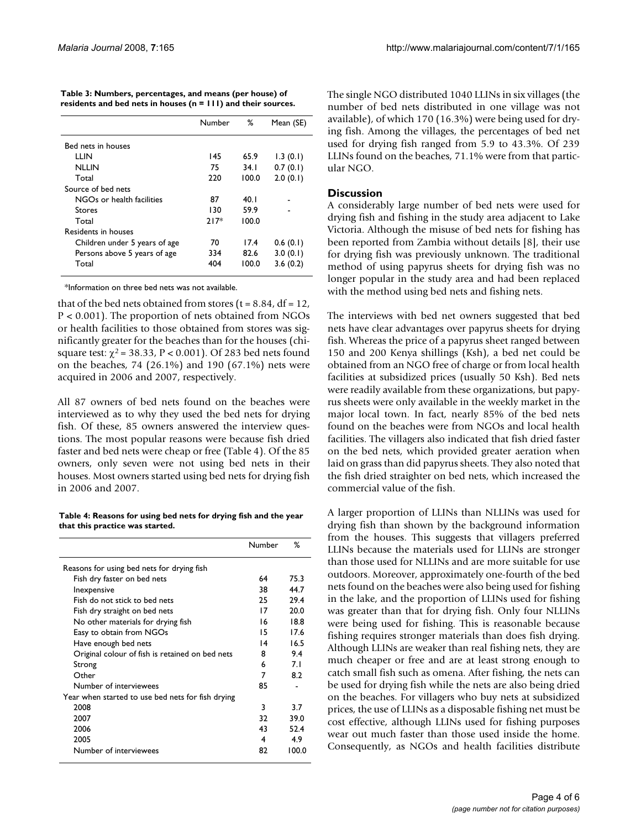| Table 3: Numbers, percentages, and means (per house) of           |
|-------------------------------------------------------------------|
| residents and bed nets in houses ( $n = 111$ ) and their sources. |

|                               | Number | ℅     | Mean (SE) |
|-------------------------------|--------|-------|-----------|
| Bed nets in houses            |        |       |           |
| I I IN                        | 145    | 65.9  | 1.3(0.1)  |
| <b>NLLIN</b>                  | 75     | 34. I | 0.7(0.1)  |
| Total                         | 220    | 100.0 | 2.0(0.1)  |
| Source of bed nets            |        |       |           |
| NGOs or health facilities     | 87     | 40. I |           |
| Stores                        | 130    | 59.9  |           |
| Total                         | $217*$ | 100.0 |           |
| Residents in houses           |        |       |           |
| Children under 5 years of age | 70     | 17.4  | 0.6(0.1)  |
| Persons above 5 years of age  | 334    | 82.6  | 3.0(0.1)  |
| Total                         | 404    | 100.0 | 3.6(0.2)  |

\*Information on three bed nets was not available.

that of the bed nets obtained from stores ( $t = 8.84$ , df = 12, P < 0.001). The proportion of nets obtained from NGOs or health facilities to those obtained from stores was significantly greater for the beaches than for the houses (chisquare test:  $\chi^2$  = 38.33, P < 0.001). Of 283 bed nets found on the beaches, 74 (26.1%) and 190 (67.1%) nets were acquired in 2006 and 2007, respectively.

All 87 owners of bed nets found on the beaches were interviewed as to why they used the bed nets for drying fish. Of these, 85 owners answered the interview questions. The most popular reasons were because fish dried faster and bed nets were cheap or free (Table 4). Of the 85 owners, only seven were not using bed nets in their houses. Most owners started using bed nets for drying fish in 2006 and 2007.

**Table 4: Reasons for using bed nets for drying fish and the year that this practice was started.**

|                                                   | Number | ℅     |
|---------------------------------------------------|--------|-------|
| Reasons for using bed nets for drying fish        |        |       |
| Fish dry faster on bed nets                       | 64     | 75.3  |
| Inexpensive                                       | 38.    | 44.7  |
| Fish do not stick to bed nets                     | 25     | 29.4  |
| Fish dry straight on bed nets                     | 17     | 20.0  |
| No other materials for drying fish                | 16     | 18.8  |
| Easy to obtain from NGOs                          | 15     | 17.6  |
| Have enough bed nets                              | 14     | 16.5  |
| Original colour of fish is retained on bed nets   | 8      | 9.4   |
| Strong                                            | 6      | 7.1   |
| Other                                             | 7      | 8.2   |
| Number of interviewees                            | 85     |       |
| Year when started to use bed nets for fish drying |        |       |
| 2008                                              | 3      | 3.7   |
| 2007                                              | 32     | 39.0  |
| 2006                                              | 43     | 52.4  |
| 2005                                              | 4      | 4.9   |
| Number of interviewees                            | 82     | 100.0 |
|                                                   |        |       |

The single NGO distributed 1040 LLINs in six villages (the number of bed nets distributed in one village was not available), of which 170 (16.3%) were being used for drying fish. Among the villages, the percentages of bed net used for drying fish ranged from 5.9 to 43.3%. Of 239 LLINs found on the beaches, 71.1% were from that particular NGO.

#### **Discussion**

A considerably large number of bed nets were used for drying fish and fishing in the study area adjacent to Lake Victoria. Although the misuse of bed nets for fishing has been reported from Zambia without details [8], their use for drying fish was previously unknown. The traditional method of using papyrus sheets for drying fish was no longer popular in the study area and had been replaced with the method using bed nets and fishing nets.

The interviews with bed net owners suggested that bed nets have clear advantages over papyrus sheets for drying fish. Whereas the price of a papyrus sheet ranged between 150 and 200 Kenya shillings (Ksh), a bed net could be obtained from an NGO free of charge or from local health facilities at subsidized prices (usually 50 Ksh). Bed nets were readily available from these organizations, but papyrus sheets were only available in the weekly market in the major local town. In fact, nearly 85% of the bed nets found on the beaches were from NGOs and local health facilities. The villagers also indicated that fish dried faster on the bed nets, which provided greater aeration when laid on grass than did papyrus sheets. They also noted that the fish dried straighter on bed nets, which increased the commercial value of the fish.

A larger proportion of LLINs than NLLINs was used for drying fish than shown by the background information from the houses. This suggests that villagers preferred LLINs because the materials used for LLINs are stronger than those used for NLLINs and are more suitable for use outdoors. Moreover, approximately one-fourth of the bed nets found on the beaches were also being used for fishing in the lake, and the proportion of LLINs used for fishing was greater than that for drying fish. Only four NLLINs were being used for fishing. This is reasonable because fishing requires stronger materials than does fish drying. Although LLINs are weaker than real fishing nets, they are much cheaper or free and are at least strong enough to catch small fish such as omena. After fishing, the nets can be used for drying fish while the nets are also being dried on the beaches. For villagers who buy nets at subsidized prices, the use of LLINs as a disposable fishing net must be cost effective, although LLINs used for fishing purposes wear out much faster than those used inside the home. Consequently, as NGOs and health facilities distribute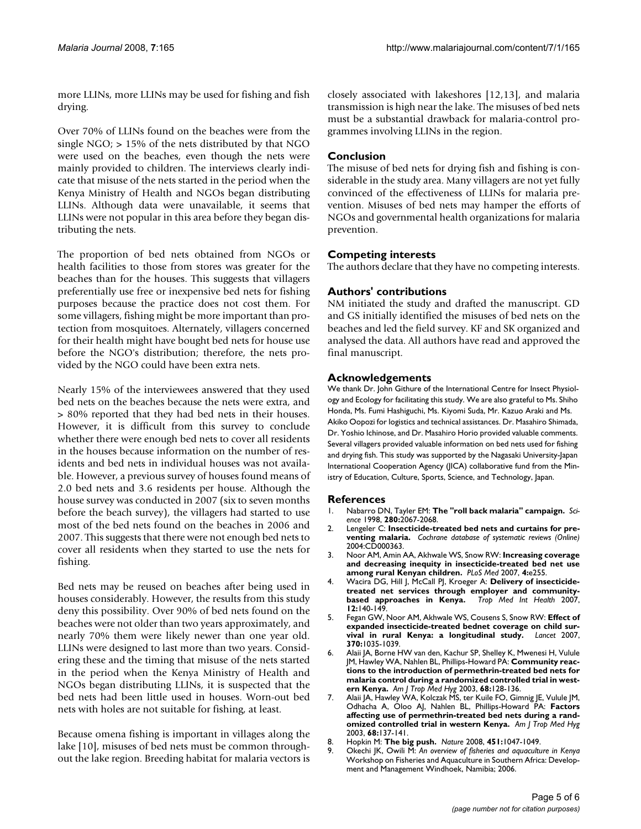more LLINs, more LLINs may be used for fishing and fish drying.

Over 70% of LLINs found on the beaches were from the single NGO; > 15% of the nets distributed by that NGO were used on the beaches, even though the nets were mainly provided to children. The interviews clearly indicate that misuse of the nets started in the period when the Kenya Ministry of Health and NGOs began distributing LLINs. Although data were unavailable, it seems that LLINs were not popular in this area before they began distributing the nets.

The proportion of bed nets obtained from NGOs or health facilities to those from stores was greater for the beaches than for the houses. This suggests that villagers preferentially use free or inexpensive bed nets for fishing purposes because the practice does not cost them. For some villagers, fishing might be more important than protection from mosquitoes. Alternately, villagers concerned for their health might have bought bed nets for house use before the NGO's distribution; therefore, the nets provided by the NGO could have been extra nets.

Nearly 15% of the interviewees answered that they used bed nets on the beaches because the nets were extra, and > 80% reported that they had bed nets in their houses. However, it is difficult from this survey to conclude whether there were enough bed nets to cover all residents in the houses because information on the number of residents and bed nets in individual houses was not available. However, a previous survey of houses found means of 2.0 bed nets and 3.6 residents per house. Although the house survey was conducted in 2007 (six to seven months before the beach survey), the villagers had started to use most of the bed nets found on the beaches in 2006 and 2007. This suggests that there were not enough bed nets to cover all residents when they started to use the nets for fishing.

Bed nets may be reused on beaches after being used in houses considerably. However, the results from this study deny this possibility. Over 90% of bed nets found on the beaches were not older than two years approximately, and nearly 70% them were likely newer than one year old. LLINs were designed to last more than two years. Considering these and the timing that misuse of the nets started in the period when the Kenya Ministry of Health and NGOs began distributing LLINs, it is suspected that the bed nets had been little used in houses. Worn-out bed nets with holes are not suitable for fishing, at least.

Because omena fishing is important in villages along the lake [10], misuses of bed nets must be common throughout the lake region. Breeding habitat for malaria vectors is closely associated with lakeshores [12,13], and malaria transmission is high near the lake. The misuses of bed nets must be a substantial drawback for malaria-control programmes involving LLINs in the region.

## **Conclusion**

The misuse of bed nets for drying fish and fishing is considerable in the study area. Many villagers are not yet fully convinced of the effectiveness of LLINs for malaria prevention. Misuses of bed nets may hamper the efforts of NGOs and governmental health organizations for malaria prevention.

## **Competing interests**

The authors declare that they have no competing interests.

## **Authors' contributions**

NM initiated the study and drafted the manuscript. GD and GS initially identified the misuses of bed nets on the beaches and led the field survey. KF and SK organized and analysed the data. All authors have read and approved the final manuscript.

#### **Acknowledgements**

We thank Dr. John Githure of the International Centre for Insect Physiology and Ecology for facilitating this study. We are also grateful to Ms. Shiho Honda, Ms. Fumi Hashiguchi, Ms. Kiyomi Suda, Mr. Kazuo Araki and Ms. Akiko Oopozi for logistics and technical assistances. Dr. Masahiro Shimada, Dr. Yoshio Ichinose, and Dr. Masahiro Horio provided valuable comments. Several villagers provided valuable information on bed nets used for fishing and drying fish. This study was supported by the Nagasaki University-Japan International Cooperation Agency (JICA) collaborative fund from the Ministry of Education, Culture, Sports, Science, and Technology, Japan.

#### **References**

- 1. Nabarro DN, Tayler EM: **[The "roll back malaria" campaign.](http://www.ncbi.nlm.nih.gov/entrez/query.fcgi?cmd=Retrieve&db=PubMed&dopt=Abstract&list_uids=9669961)** *Science* 1998, **280:**2067-2068.
- 2. Lengeler C: **[Insecticide-treated bed nets and curtains for pre](http://www.ncbi.nlm.nih.gov/entrez/query.fcgi?cmd=Retrieve&db=PubMed&dopt=Abstract&list_uids=15106149)[venting malaria.](http://www.ncbi.nlm.nih.gov/entrez/query.fcgi?cmd=Retrieve&db=PubMed&dopt=Abstract&list_uids=15106149)** *Cochrane database of systematic reviews (Online)* 2004:CD000363.
- 3. Noor AM, Amin AA, Akhwale WS, Snow RW: **[Increasing coverage](http://www.ncbi.nlm.nih.gov/entrez/query.fcgi?cmd=Retrieve&db=PubMed&dopt=Abstract&list_uids=17713981) [and decreasing inequity in insecticide-treated bed net use](http://www.ncbi.nlm.nih.gov/entrez/query.fcgi?cmd=Retrieve&db=PubMed&dopt=Abstract&list_uids=17713981) [among rural Kenyan children.](http://www.ncbi.nlm.nih.gov/entrez/query.fcgi?cmd=Retrieve&db=PubMed&dopt=Abstract&list_uids=17713981)** *PLoS Med* 2007, **4:**e255.
- 4. Wacira DG, Hill J, McCall PJ, Kroeger A: **[Delivery of insecticide](http://www.ncbi.nlm.nih.gov/entrez/query.fcgi?cmd=Retrieve&db=PubMed&dopt=Abstract&list_uids=17207158)[treated net services through employer and community](http://www.ncbi.nlm.nih.gov/entrez/query.fcgi?cmd=Retrieve&db=PubMed&dopt=Abstract&list_uids=17207158)[based approaches in Kenya.](http://www.ncbi.nlm.nih.gov/entrez/query.fcgi?cmd=Retrieve&db=PubMed&dopt=Abstract&list_uids=17207158) 12:**140-149.
- 5. Fegan GW, Noor AM, Akhwale WS, Cousens S, Snow RW: **[Effect of](http://www.ncbi.nlm.nih.gov/entrez/query.fcgi?cmd=Retrieve&db=PubMed&dopt=Abstract&list_uids=17889242) [expanded insecticide-treated bednet coverage on child sur](http://www.ncbi.nlm.nih.gov/entrez/query.fcgi?cmd=Retrieve&db=PubMed&dopt=Abstract&list_uids=17889242)[vival in rural Kenya: a longitudinal study.](http://www.ncbi.nlm.nih.gov/entrez/query.fcgi?cmd=Retrieve&db=PubMed&dopt=Abstract&list_uids=17889242)** *Lancet* 2007, **370:**1035-1039.
- 6. Alaii JA, Borne HW van den, Kachur SP, Shelley K, Mwenesi H, Vulule JM, Hawley WA, Nahlen BL, Phillips-Howard PA: **[Community reac](http://www.ncbi.nlm.nih.gov/entrez/query.fcgi?cmd=Retrieve&db=PubMed&dopt=Abstract&list_uids=12749496)[tions to the introduction of permethrin-treated bed nets for](http://www.ncbi.nlm.nih.gov/entrez/query.fcgi?cmd=Retrieve&db=PubMed&dopt=Abstract&list_uids=12749496) malaria control during a randomized controlled trial in west[ern Kenya.](http://www.ncbi.nlm.nih.gov/entrez/query.fcgi?cmd=Retrieve&db=PubMed&dopt=Abstract&list_uids=12749496)** *Am J Trop Med Hyg* 2003, **68:**128-136.
- 7. Alaii JA, Hawley WA, Kolczak MS, ter Kuile FO, Gimnig JE, Vulule JM, Odhacha A, Oloo AJ, Nahlen BL, Phillips-Howard PA: **[Factors](http://www.ncbi.nlm.nih.gov/entrez/query.fcgi?cmd=Retrieve&db=PubMed&dopt=Abstract&list_uids=12749497) [affecting use of permethrin-treated bed nets during a rand](http://www.ncbi.nlm.nih.gov/entrez/query.fcgi?cmd=Retrieve&db=PubMed&dopt=Abstract&list_uids=12749497)[omized controlled trial in western Kenya.](http://www.ncbi.nlm.nih.gov/entrez/query.fcgi?cmd=Retrieve&db=PubMed&dopt=Abstract&list_uids=12749497)** *Am J Trop Med Hyg* 2003, **68:**137-141.
- 8. Hopkin M: **[The big push.](http://www.ncbi.nlm.nih.gov/entrez/query.fcgi?cmd=Retrieve&db=PubMed&dopt=Abstract&list_uids=18305519)** *Nature* 2008, **451:**1047-1049.
- 9. Okechi JK, Owili M: *An overview of fisheries and aquaculture in Kenya* Workshop on Fisheries and Aquaculture in Southern Africa: Development and Management Windhoek, Namibia; 2006.